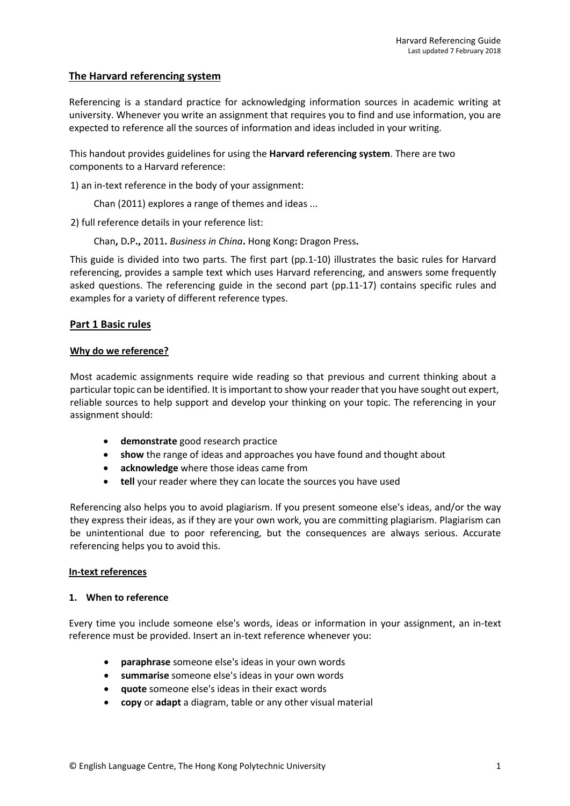# **The Harvard referencing system**

Referencing is a standard practice for acknowledging information sources in academic writing at university. Whenever you write an assignment that requires you to find and use information, you are expected to reference all the sources of information and ideas included in your writing.

This handout provides guidelines for using the **Harvard referencing system**. There are two components to a Harvard reference:

1) an in-text reference in the body of your assignment:

Chan (2011) explores a range of themes and ideas ...

2) full reference details in your reference list:

Chan**,** D**.**P**.,** 2011**.** *Business in China***.** Hong Kong**:** Dragon Press**.**

This guide is divided into two parts. The first part (pp.1-10) illustrates the basic rules for Harvard referencing, provides a sample text which uses Harvard referencing, and answers some frequently asked questions. The referencing guide in the second part (pp.11-17) contains specific rules and examples for a variety of different reference types.

# **Part 1 Basic rules**

## **Why do we reference?**

Most academic assignments require wide reading so that previous and current thinking about a particular topic can be identified. It is important to show your reader that you have sought out expert, reliable sources to help support and develop your thinking on your topic. The referencing in your assignment should:

- **demonstrate** good research practice
- **show** the range of ideas and approaches you have found and thought about
- **acknowledge** where those ideas came from
- **tell** your reader where they can locate the sources you have used

Referencing also helps you to avoid plagiarism. If you present someone else's ideas, and/or the way they express their ideas, as if they are your own work, you are committing plagiarism. Plagiarism can be unintentional due to poor referencing, but the consequences are always serious. Accurate referencing helps you to avoid this.

## **In-text references**

## **1. When to reference**

Every time you include someone else's words, ideas or information in your assignment, an in-text reference must be provided. Insert an in-text reference whenever you:

- **paraphrase** someone else's ideas in your own words
- **summarise** someone else's ideas in your own words
- **quote** someone else's ideas in their exact words
- **copy** or **adapt** a diagram, table or any other visual material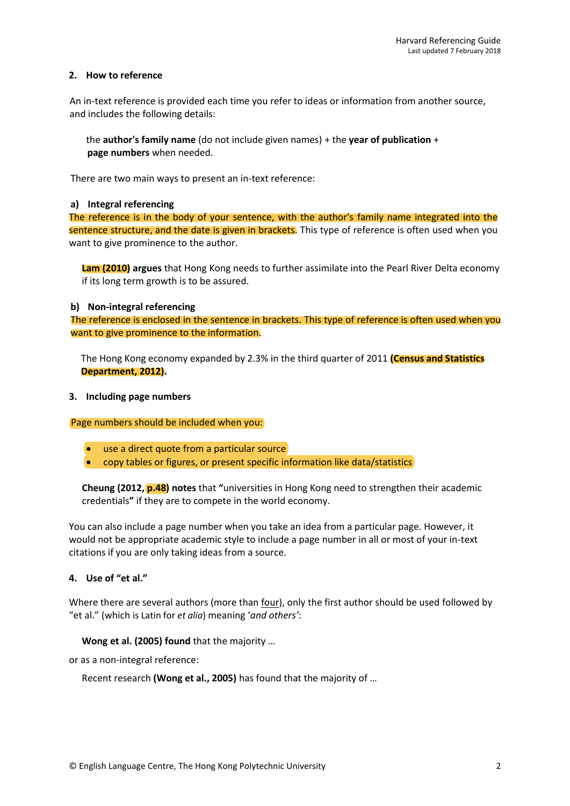## **2. How to reference**

An in-text reference is provided each time you refer to ideas or information from another source, and includes the following details:

the **author's family name** (do not include given names) + the **year of publication** + **page numbers** when needed.

There are two main ways to present an in-text reference:

#### **a) Integral referencing**

The reference is in the body of your sentence, with the author's family name integrated into the sentence structure, and the date is given in brackets. This type of reference is often used when you want to give prominence to the author.

**Lam (2010) argues** that Hong Kong needs to further assimilate into the Pearl River Delta economy if its long term growth is to be assured.

#### **b) Non-integral referencing**

The reference is enclosed in the sentence in brackets. This type of reference is often used when you want to give prominence to the information.

The Hong Kong economy expanded by 2.3% in the third quarter of 2011 **Department, 2012).**

#### **3. Including page numbers**

Page numbers should be included when you:

- use a direct quote from a particular source
- copy tables or figures, or present specific information like data/statistics

**Cheung (2012, p.48) notes** that **"**universities in Hong Kong need to strengthen their academic credentials**"** if they are to compete in the world economy.

You can also include a page number when you take an idea from a particular page. However, it would not be appropriate academic style to include a page number in all or most of your in-text citations if you are only taking ideas from a source.

## **4. Use of "et al."**

Where there are several authors (more than four), only the first author should be used followed by "et al." (which is Latin for *et alia*) meaning '*and others'*:

## **Wong et al. (2005) found** that the majority …

or as a non-integral reference:

Recent research **(Wong et al., 2005)** has found that the majority of …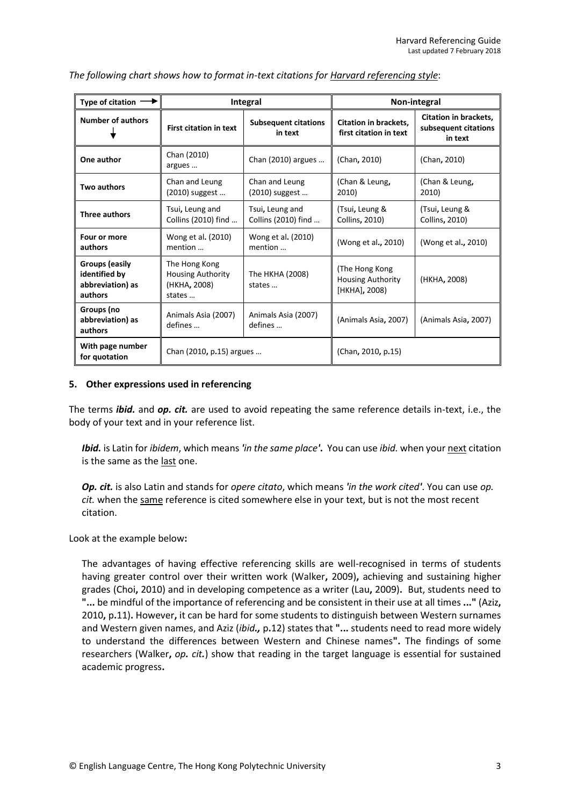| Type of citation $\rightarrow$                                 | Integral                                                            |                                        | Non-integral                                                |                                                                 |
|----------------------------------------------------------------|---------------------------------------------------------------------|----------------------------------------|-------------------------------------------------------------|-----------------------------------------------------------------|
| <b>Number of authors</b>                                       | <b>First citation in text</b>                                       | <b>Subsequent citations</b><br>in text | <b>Citation in brackets.</b><br>first citation in text      | <b>Citation in brackets,</b><br>subsequent citations<br>in text |
| One author                                                     | Chan (2010)<br>argues                                               | Chan (2010) argues                     | (Chan, 2010)                                                | (Chan, 2010)                                                    |
| Two authors                                                    | Chan and Leung<br>(2010) suggest                                    | Chan and Leung<br>(2010) suggest       | (Chan & Leung,<br>2010)                                     | (Chan & Leung,<br>2010)                                         |
| Three authors                                                  | Tsui, Leung and<br>Collins (2010) find                              | Tsui, Leung and<br>Collins (2010) find | (Tsui, Leung &<br>Collins, 2010)                            | (Tsui, Leung &<br>Collins, 2010)                                |
| Four or more<br>authors                                        | Wong et al. (2010)<br>mention                                       | Wong et al. (2010)<br>mention          | (Wong et al., 2010)                                         | (Wong et al., 2010)                                             |
| Groups (easily<br>identified by<br>abbreviation) as<br>authors | The Hong Kong<br><b>Housing Authority</b><br>(HKHA, 2008)<br>states | The HKHA (2008)<br>states              | (The Hong Kong<br><b>Housing Authority</b><br>[HKHA], 2008) | (HKHA, 2008)                                                    |
| Groups (no<br>abbreviation) as<br>authors                      | Animals Asia (2007)<br>defines                                      | Animals Asia (2007)<br>defines         | (Animals Asia, 2007)                                        | (Animals Asia, 2007)                                            |
| With page number<br>for quotation                              | Chan (2010, p.15) argues                                            |                                        | (Chan, 2010, p.15)                                          |                                                                 |

## *The following chart shows how to format in-text citations for Harvard referencing style*:

#### **5. Other expressions used in referencing**

The terms *ibid.* and *op. cit.* are used to avoid repeating the same reference details in-text, i.e., the body of your text and in your reference list.

*Ibid.* is Latin for *ibidem*, which means *'in the same place'***.** You can use *ibid.* when your next citation is the same as the last one.

*Op. cit.* is also Latin and stands for *opere citato*, which means *'in the work cited'*. You can use *op. cit.* when the same reference is cited somewhere else in your text, but is not the most recent citation.

Look at the example below**:**

The advantages of having effective referencing skills are well-recognised in terms of students having greater control over their written work (Walker**,** 2009)**,** achieving and sustaining higher grades (Choi**,** 2010) and in developing competence as a writer (Lau**,** 2009)**.** But, students need to **"...** be mindful of the importance of referencing and be consistent in their use at all times **..."** (Aziz**,** 2010**,** p**.**11)**.** However**,** it can be hard for some students to distinguish between Western surnames and Western given names, and Aziz (*ibid.,* p**.**12) states that **"...** students need to read more widely to understand the differences between Western and Chinese names**".** The findings of some researchers (Walker**,** *op. cit.*) show that reading in the target language is essential for sustained academic progress**.**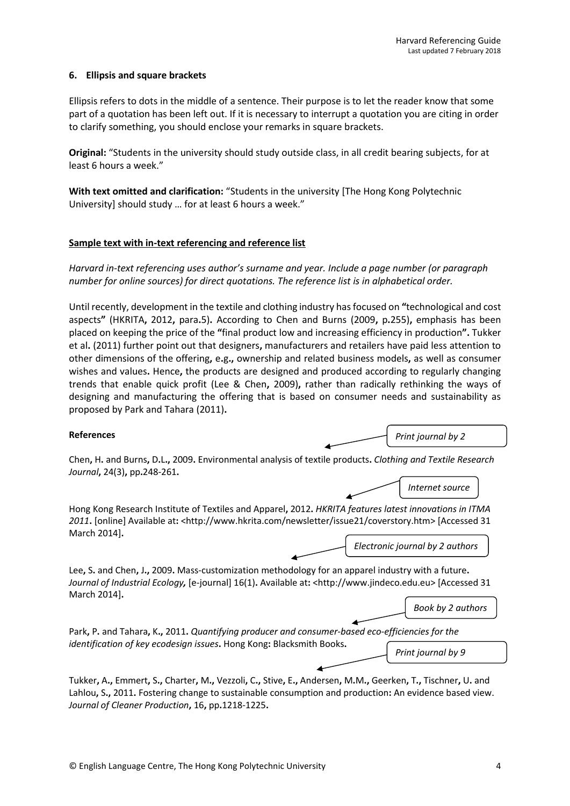## **6. Ellipsis and square brackets**

Ellipsis refers to dots in the middle of a sentence. Their purpose is to let the reader know that some part of a quotation has been left out. If it is necessary to interrupt a quotation you are citing in order to clarify something, you should enclose your remarks in square brackets.

**Original:** "Students in the university should study outside class, in all credit bearing subjects, for at least 6 hours a week."

**With text omitted and clarification:** "Students in the university [The Hong Kong Polytechnic University] should study … for at least 6 hours a week."

## **Sample text with in-text referencing and reference list**

*Harvard in-text referencing uses author's surname and year. Include a page number (or paragraph number for online sources) for direct quotations. The reference list is in alphabetical order.*

Until recently, development in the textile and clothing industry has focused on **"**technological and cost aspects**"** (HKRITA**,** 2012**,** para**.**5)**.** According to Chen and Burns (2009**,** p**.**255)**,** emphasis has been placed on keeping the price of the **"**final product low and increasing efficiency in production**".** Tukker et al**.** (2011) further point out that designers**,** manufacturers and retailers have paid less attention to other dimensions of the offering**,** e**.**g**.,** ownership and related business models**,** as well as consumer wishes and values**.** Hence**,** the products are designed and produced according to regularly changing trends that enable quick profit (Lee & Chen**,** 2009)**,** rather than radically rethinking the ways of designing and manufacturing the offering that is based on consumer needs and sustainability as proposed by Park and Tahara (2011)**.**

## **References**

*Print journal by 2 authors*

Chen**,** H**.** and Burns**,** D**.**L**.,** 2009**.** Environmental analysis of textile products**.** *Clothing and Textile Research Journal***,** 24(3)**,** pp**.**248-261**.**

Hong Kong Research Institute of Textiles and Apparel**,** 2012**.** *HKRITA features latest innovations in ITMA 2011***.** [online] Available at**:** [<http://www.hkrita.com/newsletter/issue21/coverstory.htm>](http://www.hkrita.com/newsletter/issue21/coverstory.htm) [Accessed 31 March 2014]**.**

*Electronic journal by 2 authors*

*authors*

*Internet source*

Lee**,** S**.** and Chen**,** J**.,** 2009**.** Mass-customization methodology for an apparel industry with a future**.** *Journal of Industrial Ecology,* [e-journal] 16(1)**.** Available at**:** [<http://www.jindeco.edu.eu>](http://www.jindeco.edu.eu/) [Accessed 31 March 2014]**.**

*Book by 2 authors*

Park**,** P**.** and Tahara**,** K**.,** 2011**.** *Quantifying producer and consumer-based eco-efficiencies for the identification of key ecodesign issues***.** Hong Kong**:** Blacksmith Books**.** *Print journal by 9* 

Tukker, A., Emmert, S., Charter, M., Vezzoli, C., Stive, E., Andersen, M.M., Geerken, T., Tischner, U. and Lahlou**,** S**.,** 2011**.** Fostering change to sustainable consumption and production**:** An evidence based view. *Journal of Cleaner Production***,** 16**,** pp**.**1218-1225**.**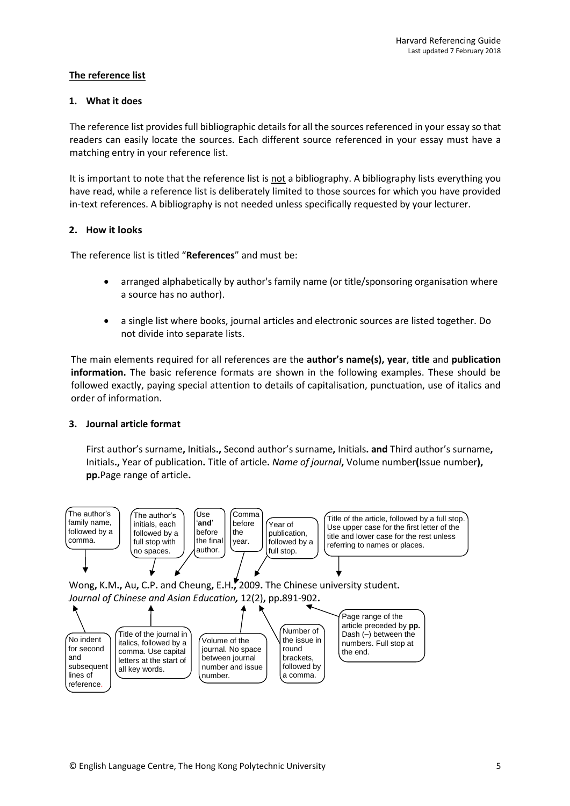# **The reference list**

## **1. What it does**

The reference list provides full bibliographic details for all the sources referenced in your essay so that readers can easily locate the sources. Each different source referenced in your essay must have a matching entry in your reference list.

It is important to note that the reference list is not a bibliography. A bibliography lists everything you have read, while a reference list is deliberately limited to those sources for which you have provided in-text references. A bibliography is not needed unless specifically requested by your lecturer.

## **2. How it looks**

The reference list is titled "**References**" and must be:

- arranged alphabetically by author's family name (or title/sponsoring organisation where a source has no author).
- a single list where books, journal articles and electronic sources are listed together. Do not divide into separate lists.

The main elements required for all references are the **author's name(s), year**, **title** and **publication information.** The basic reference formats are shown in the following examples. These should be followed exactly, paying special attention to details of capitalisation, punctuation, use of italics and order of information.

# **3. Journal article format**

First author's surname**,** Initials**.,** Second author's surname**,** Initials**. and** Third author's surname**,** Initials**.,** Year of publication**.** Title of article**.** *Name of journal***,** Volume number**(**Issue number**), pp.**Page range of article**.**



Wong**,** K**.**M**.,** Au**,** C**.**P**.** and Cheung**,** E**.**H**.,** 2009**.** The Chinese university student**.** *Journal of Chinese and Asian Education,* 12(2)**,** pp**.**891-902**.**

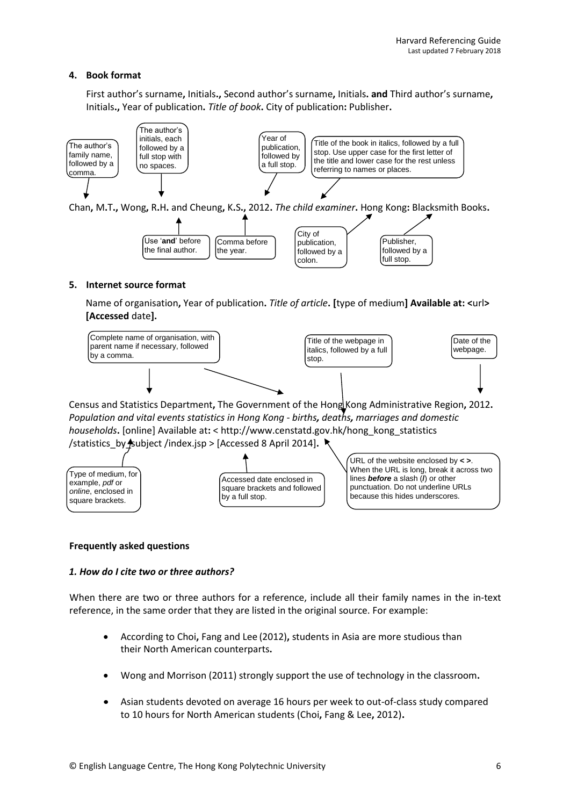## **4. Book format**

First author's surname**,** Initials**.,** Second author's surname**,** Initials**. and** Third author's surname**,**  Initials**.,** Year of publication**.** *Title of book***.** City of publication**:** Publisher**.**





#### **5. Internet source format**

Name of organisation**,** Year of publication**.** *Title of article***. [**type of medium**] Available at: <**url**> [Accessed** date**].**



Census and Statistics Department**,** The Government of the Hong Kong Administrative Region**,** 2012**.** *Population and vital events statistics in Hong Kong - births, deaths, marriages and domestic households***.** [online] Available at**:** < http://www.censtatd.gov.hk/hong\_kong\_statistics /statistics\_by\_subject /index.jsp > [Accessed 8 April 2014]**.**



## **Frequently asked questions**

## *1. How do I cite two or three authors?*

When there are two or three authors for a reference, include all their family names in the in-text reference, in the same order that they are listed in the original source. For example:

- According to Choi**,** Fang and Lee (2012)**,** students in Asia are more studious than their North American counterparts**.**
- Wong and Morrison (2011) strongly support the use of technology in the classroom**.**
- Asian students devoted on average 16 hours per week to out-of-class study compared to 10 hours for North American students (Choi**,** Fang & Lee**,** 2012)**.**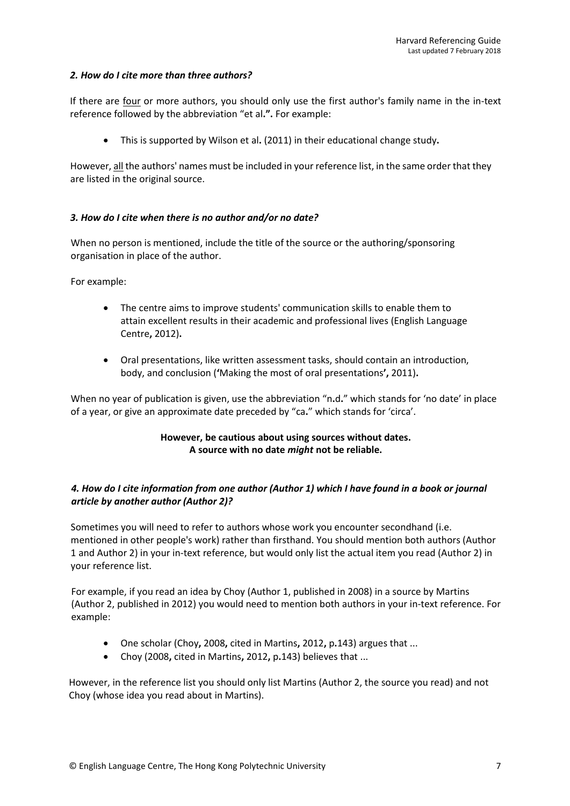## *2. How do I cite more than three authors?*

If there are four or more authors, you should only use the first author's family name in the in-text reference followed by the abbreviation "et al**.".** For example:

This is supported by Wilson et al**.** (2011) in their educational change study**.**

However, all the authors' names must be included in your reference list, in the same order that they are listed in the original source.

## *3. How do I cite when there is no author and/or no date?*

When no person is mentioned, include the title of the source or the authoring/sponsoring organisation in place of the author.

For example:

- The centre aims to improve students' communication skills to enable them to attain excellent results in their academic and professional lives (English Language Centre**,** 2012)**.**
- Oral presentations, like written assessment tasks, should contain an introduction, body, and conclusion (**'**Making the most of oral presentations**',** 2011)**.**

When no year of publication is given, use the abbreviation "n**.**d**.**" which stands for 'no date' in place of a year, or give an approximate date preceded by "ca**.**" which stands for 'circa'.

# **However, be cautious about using sources without dates. A source with no date** *might* **not be reliable.**

# *4. How do I cite information from one author (Author 1) which I have found in a book or journal article by another author (Author 2)?*

Sometimes you will need to refer to authors whose work you encounter secondhand (i.e. mentioned in other people's work) rather than firsthand. You should mention both authors (Author 1 and Author 2) in your in-text reference, but would only list the actual item you read (Author 2) in your reference list.

For example, if you read an idea by Choy (Author 1, published in 2008) in a source by Martins (Author 2, published in 2012) you would need to mention both authors in your in-text reference. For example:

- One scholar (Choy**,** 2008**,** cited in Martins**,** 2012**,** p**.**143) argues that ...
- Choy (2008**,** cited in Martins**,** 2012**,** p**.**143) believes that ...

However, in the reference list you should only list Martins (Author 2, the source you read) and not Choy (whose idea you read about in Martins).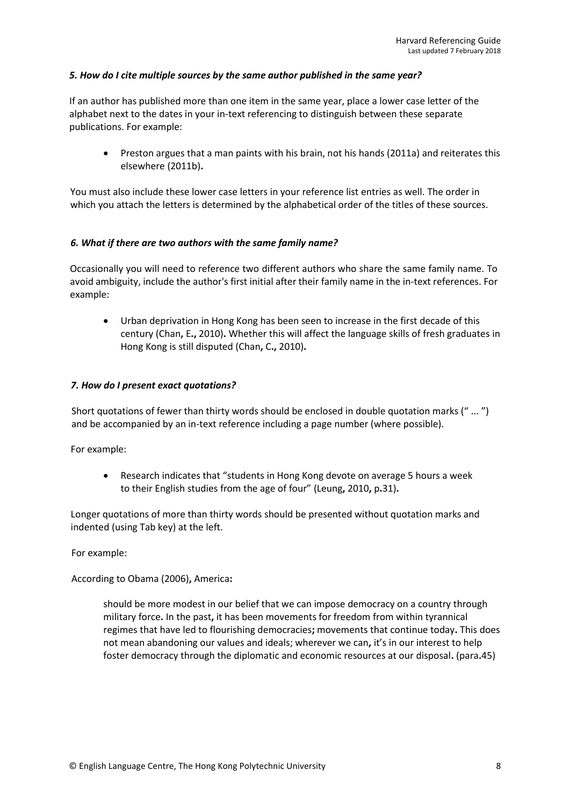## *5. How do I cite multiple sources by the same author published in the same year?*

If an author has published more than one item in the same year, place a lower case letter of the alphabet next to the dates in your in-text referencing to distinguish between these separate publications. For example:

 Preston argues that a man paints with his brain, not his hands (2011a) and reiterates this elsewhere (2011b)**.**

You must also include these lower case letters in your reference list entries as well. The order in which you attach the letters is determined by the alphabetical order of the titles of these sources.

## *6. What if there are two authors with the same family name?*

Occasionally you will need to reference two different authors who share the same family name. To avoid ambiguity, include the author's first initial after their family name in the in-text references. For example:

 Urban deprivation in Hong Kong has been seen to increase in the first decade of this century (Chan**,** E**.,** 2010)**.** Whether this will affect the language skills of fresh graduates in Hong Kong is still disputed (Chan**,** C**.,** 2010)**.**

## *7. How do I present exact quotations?*

Short quotations of fewer than thirty words should be enclosed in double quotation marks (" ... ") and be accompanied by an in-text reference including a page number (where possible).

For example:

 Research indicates that "students in Hong Kong devote on average 5 hours a week to their English studies from the age of four" (Leung**,** 2010**,** p**.**31)**.**

Longer quotations of more than thirty words should be presented without quotation marks and indented (using Tab key) at the left.

For example:

According to Obama (2006)**,** America**:**

should be more modest in our belief that we can impose democracy on a country through military force**.** In the past**,** it has been movements for freedom from within tyrannical regimes that have led to flourishing democracies**;** movements that continue today**.** This does not mean abandoning our values and ideals; wherever we can**,** it's in our interest to help foster democracy through the diplomatic and economic resources at our disposal**.** (para**.**45)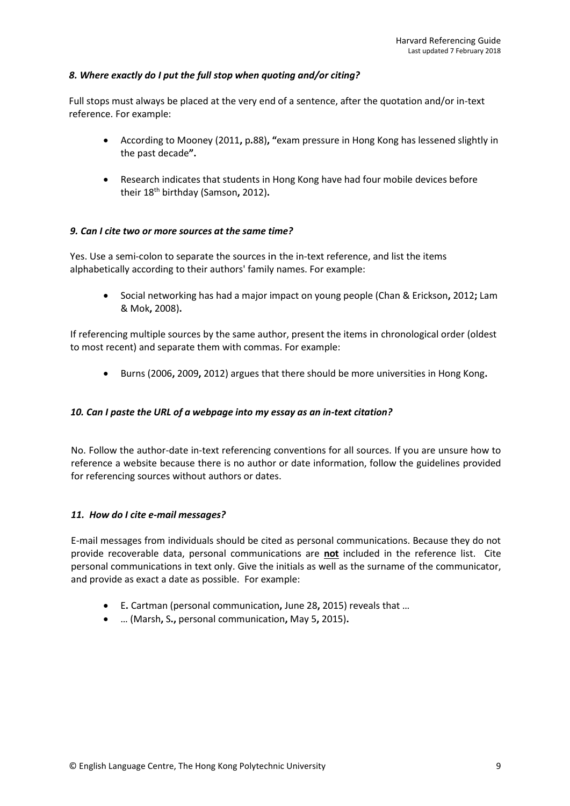## *8. Where exactly do I put the full stop when quoting and/or citing?*

Full stops must always be placed at the very end of a sentence, after the quotation and/or in-text reference. For example:

- According to Mooney (2011**,** p**.**88)**, "**exam pressure in Hong Kong has lessened slightly in the past decade**".**
- Research indicates that students in Hong Kong have had four mobile devices before their 18th birthday (Samson**,** 2012)**.**

## *9. Can I cite two or more sources at the same time?*

Yes. Use a semi-colon to separate the sources in the in-text reference, and list the items alphabetically according to their authors' family names. For example:

 Social networking has had a major impact on young people (Chan & Erickson**,** 2012**;** Lam & Mok**,** 2008)**.**

If referencing multiple sources by the same author, present the items in chronological order (oldest to most recent) and separate them with commas. For example:

Burns (2006**,** 2009**,** 2012) argues that there should be more universities in Hong Kong**.**

## *10. Can I paste the URL of a webpage into my essay as an in-text citation?*

No. Follow the author-date in-text referencing conventions for all sources. If you are unsure how to reference a website because there is no author or date information, follow the guidelines provided for referencing sources without authors or dates.

## *11. How do I cite e-mail messages?*

E-mail messages from individuals should be cited as personal communications. Because they do not provide recoverable data, personal communications are **not** included in the reference list. Cite personal communications in text only. Give the initials as well as the surname of the communicator, and provide as exact a date as possible. For example:

- E**.** Cartman (personal communication**,** June 28**,** 2015) reveals that …
- … (Marsh**,** S**.,** personal communication**,** May 5**,** 2015)**.**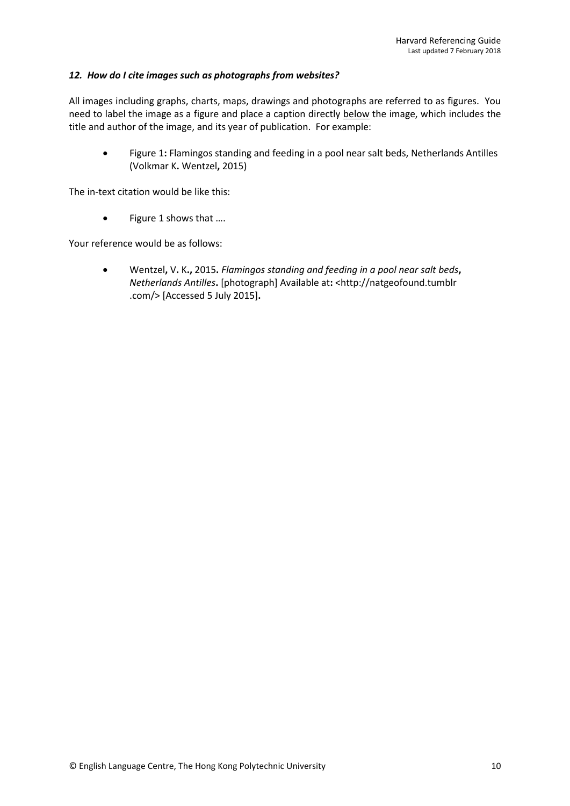## *12. How do I cite images such as photographs from websites?*

All images including graphs, charts, maps, drawings and photographs are referred to as figures. You need to label the image as a figure and place a caption directly below the image, which includes the title and author of the image, and its year of publication. For example:

 Figure 1**:** Flamingos standing and feeding in a pool near salt beds, Netherlands Antilles (Volkmar K**.** Wentzel**,** 2015)

The in-text citation would be like this:

Figure 1 shows that ….

Your reference would be as follows:

 Wentzel**,** V**.** K**.,** 2015**.** *Flamingos standing and feeding in a pool near salt beds***,**  *Netherlands Antilles***.** [photograph] Available at**:** <http://natgeofound.tumblr .com/> [Accessed 5 July 2015]**.**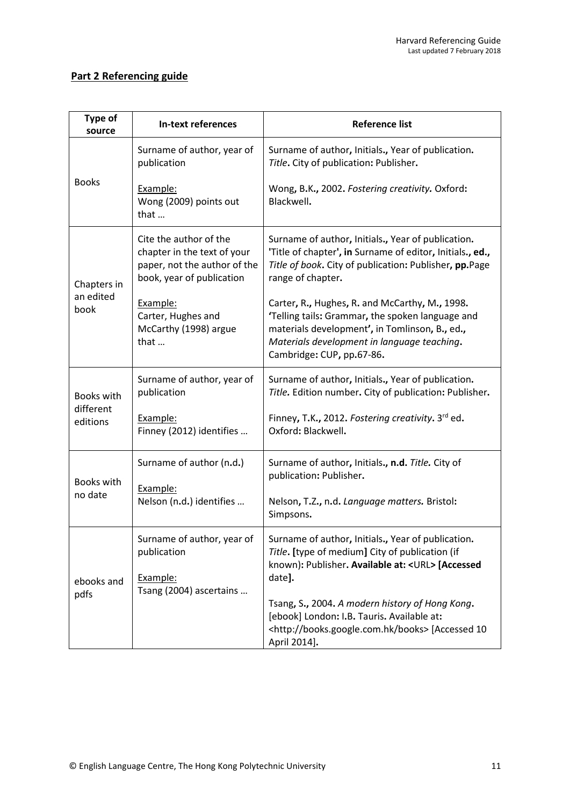# **Part 2 Referencing guide**

| <b>Type of</b><br>source            | <b>In-text references</b>                                                                                          | <b>Reference list</b>                                                                                                                                                                                                            |
|-------------------------------------|--------------------------------------------------------------------------------------------------------------------|----------------------------------------------------------------------------------------------------------------------------------------------------------------------------------------------------------------------------------|
| <b>Books</b>                        | Surname of author, year of<br>publication                                                                          | Surname of author, Initials., Year of publication.<br>Title. City of publication: Publisher.                                                                                                                                     |
|                                     | Example:<br>Wong (2009) points out<br>that                                                                         | Wong, B.K., 2002. Fostering creativity. Oxford:<br>Blackwell.                                                                                                                                                                    |
| Chapters in<br>an edited<br>book    | Cite the author of the<br>chapter in the text of your<br>paper, not the author of the<br>book, year of publication | Surname of author, Initials., Year of publication.<br>'Title of chapter', in Surname of editor, Initials., ed.,<br>Title of book. City of publication: Publisher, pp.Page<br>range of chapter.                                   |
|                                     | Example:<br>Carter, Hughes and<br>McCarthy (1998) argue<br>that                                                    | Carter, R., Hughes, R. and McCarthy, M., 1998.<br>'Telling tails: Grammar, the spoken language and<br>materials development', in Tomlinson, B., ed.,<br>Materials development in language teaching.<br>Cambridge: CUP, pp.67-86. |
| Books with<br>different<br>editions | Surname of author, year of<br>publication                                                                          | Surname of author, Initials., Year of publication.<br>Title. Edition number. City of publication: Publisher.                                                                                                                     |
|                                     | Example:<br>Finney (2012) identifies                                                                               | Finney, T.K., 2012. Fostering creativity. 3rd ed.<br>Oxford: Blackwell.                                                                                                                                                          |
| Books with<br>no date               | Surname of author (n.d.)                                                                                           | Surname of author, Initials., n.d. Title. City of<br>publication: Publisher.                                                                                                                                                     |
|                                     | Example:<br>Nelson (n.d.) identifies                                                                               | Nelson, T.Z., n.d. Language matters. Bristol:<br>Simpsons.                                                                                                                                                                       |
| ebooks and<br>pdfs                  | Surname of author, year of<br>publication<br>Example:                                                              | Surname of author, Initials., Year of publication.<br>Title. [type of medium] City of publication (if<br>known): Publisher. Available at: <url> [Accessed<br/>date].</url>                                                       |
|                                     | Tsang (2004) ascertains                                                                                            | Tsang, S., 2004. A modern history of Hong Kong.<br>[ebook] London: I.B. Tauris. Available at:<br><http: books="" books.google.com.hk=""> [Accessed 10<br/>April 2014].</http:>                                                   |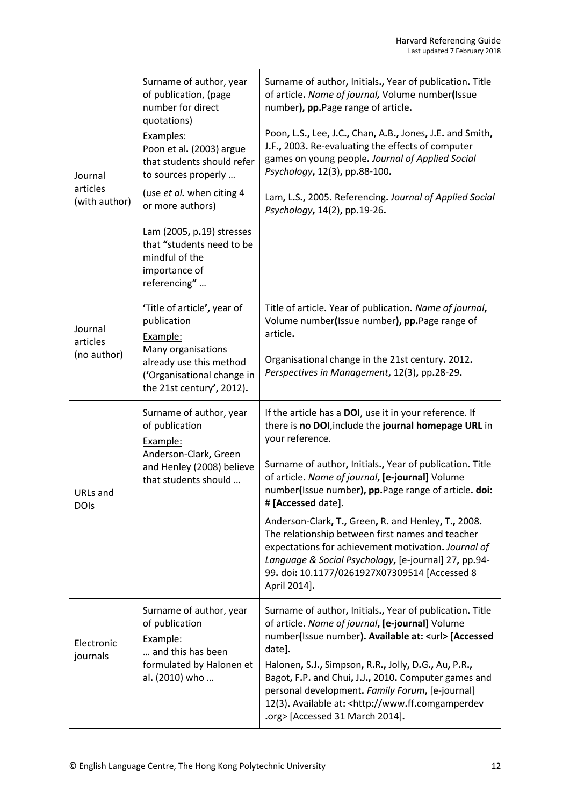| Journal<br>articles<br>(with author) | Surname of author, year<br>of publication, (page<br>number for direct<br>quotations)<br>Examples:<br>Poon et al. (2003) argue<br>that students should refer<br>to sources properly<br>(use et al. when citing 4<br>or more authors)<br>Lam (2005, p.19) stresses<br>that "students need to be<br>mindful of the<br>importance of<br>referencing" | Surname of author, Initials., Year of publication. Title<br>of article. Name of journal, Volume number(Issue<br>number), pp.Page range of article.<br>Poon, L.S., Lee, J.C., Chan, A.B., Jones, J.E. and Smith,<br>J.F., 2003. Re-evaluating the effects of computer<br>games on young people. Journal of Applied Social<br>Psychology, 12(3), pp.88-100.<br>Lam, L.S., 2005. Referencing. Journal of Applied Social<br>Psychology, 14(2), pp.19-26.                                                                                                                                                                      |
|--------------------------------------|--------------------------------------------------------------------------------------------------------------------------------------------------------------------------------------------------------------------------------------------------------------------------------------------------------------------------------------------------|---------------------------------------------------------------------------------------------------------------------------------------------------------------------------------------------------------------------------------------------------------------------------------------------------------------------------------------------------------------------------------------------------------------------------------------------------------------------------------------------------------------------------------------------------------------------------------------------------------------------------|
| Journal<br>articles<br>(no author)   | 'Title of article', year of<br>publication<br>Example:<br>Many organisations<br>already use this method<br>('Organisational change in<br>the 21st century', 2012).                                                                                                                                                                               | Title of article. Year of publication. Name of journal,<br>Volume number(Issue number), pp.Page range of<br>article.<br>Organisational change in the 21st century. 2012.<br>Perspectives in Management, 12(3), pp.28-29.                                                                                                                                                                                                                                                                                                                                                                                                  |
| <b>URLs</b> and<br><b>DOIs</b>       | Surname of author, year<br>of publication<br>Example:<br>Anderson-Clark, Green<br>and Henley (2008) believe<br>that students should                                                                                                                                                                                                              | If the article has a DOI, use it in your reference. If<br>there is no DOI, include the journal homepage URL in<br>your reference.<br>Surname of author, Initials., Year of publication. Title<br>of article. Name of journal, [e-journal] Volume<br>number(Issue number), pp.Page range of article. doi:<br># [Accessed date].<br>Anderson-Clark, T., Green, R. and Henley, T., 2008.<br>The relationship between first names and teacher<br>expectations for achievement motivation. Journal of<br>Language & Social Psychology, [e-journal] 27, pp.94-<br>99. doi: 10.1177/0261927X07309514 [Accessed 8<br>April 2014]. |
| Electronic<br>journals               | Surname of author, year<br>of publication<br>Example:<br>and this has been<br>formulated by Halonen et<br>al. (2010) who                                                                                                                                                                                                                         | Surname of author, Initials., Year of publication. Title<br>of article. Name of journal, [e-journal] Volume<br>number(Issue number). Available at: <url> [Accessed<br/>date].<br/>Halonen, S.J., Simpson, R.R., Jolly, D.G., Au, P.R.,<br/>Bagot, F.P. and Chui, J.J., 2010. Computer games and<br/>personal development. Family Forum, [e-journal]<br/>12(3). Available at: <http: www.ff.comgamperdev<br="">.org&gt; [Accessed 31 March 2014].</http:></url>                                                                                                                                                            |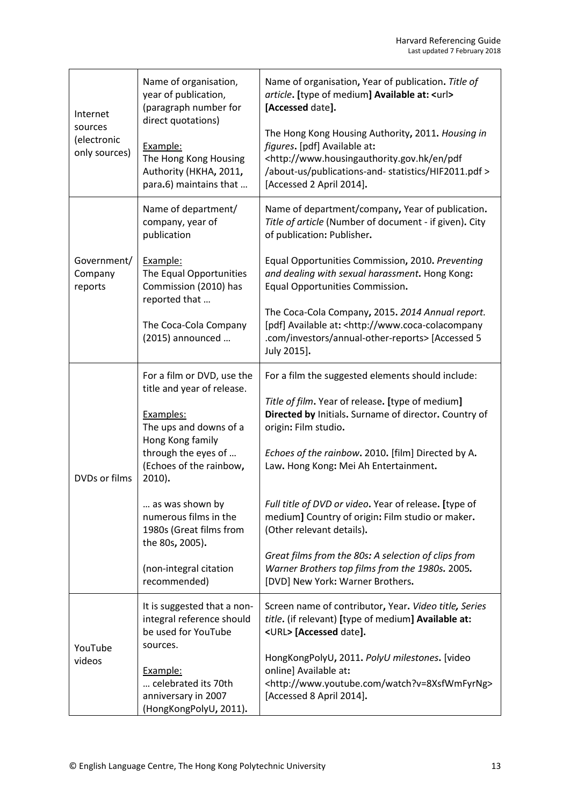| Internet<br>sources<br>(electronic<br>only sources) | Name of organisation,<br>year of publication,<br>(paragraph number for<br>direct quotations)<br>Example:<br>The Hong Kong Housing<br>Authority (HKHA, 2011,<br>para.6) maintains that | Name of organisation, Year of publication. Title of<br>article. [type of medium] Available at: <url><br/>[Accessed date].<br/>The Hong Kong Housing Authority, 2011. Housing in<br/>figures. [pdf] Available at:<br/><http: en="" pdf<br="" www.housingauthority.gov.hk="">/about-us/publications-and-statistics/HIF2011.pdf &gt;<br/>[Accessed 2 April 2014].</http:></url> |
|-----------------------------------------------------|---------------------------------------------------------------------------------------------------------------------------------------------------------------------------------------|------------------------------------------------------------------------------------------------------------------------------------------------------------------------------------------------------------------------------------------------------------------------------------------------------------------------------------------------------------------------------|
| Government/<br>Company                              | Name of department/<br>company, year of<br>publication<br>Example:<br>The Equal Opportunities                                                                                         | Name of department/company, Year of publication.<br>Title of article (Number of document - if given). City<br>of publication: Publisher.<br>Equal Opportunities Commission, 2010. Preventing<br>and dealing with sexual harassment. Hong Kong:                                                                                                                               |
| reports                                             | Commission (2010) has<br>reported that<br>The Coca-Cola Company<br>(2015) announced                                                                                                   | Equal Opportunities Commission.<br>The Coca-Cola Company, 2015. 2014 Annual report.<br>[pdf] Available at: <http: www.coca-colacompany<br="">.com/investors/annual-other-reports&gt; [Accessed 5<br/>July 2015].</http:>                                                                                                                                                     |
| <b>DVDs or films</b>                                | For a film or DVD, use the<br>title and year of release.<br>Examples:<br>The ups and downs of a<br>Hong Kong family<br>through the eyes of<br>(Echoes of the rainbow,<br>2010).       | For a film the suggested elements should include:<br>Title of film. Year of release. [type of medium]<br>Directed by Initials. Surname of director. Country of<br>origin: Film studio.<br>Echoes of the rainbow. 2010. [film] Directed by A.<br>Law. Hong Kong: Mei Ah Entertainment.                                                                                        |
|                                                     | as was shown by<br>numerous films in the<br>1980s (Great films from<br>the 80s, 2005).<br>(non-integral citation<br>recommended)                                                      | Full title of DVD or video. Year of release. [type of<br>medium] Country of origin: Film studio or maker.<br>(Other relevant details).<br>Great films from the 80s: A selection of clips from<br>Warner Brothers top films from the 1980s. 2005.<br>[DVD] New York: Warner Brothers.                                                                                         |
| YouTube<br>videos                                   | It is suggested that a non-<br>integral reference should<br>be used for YouTube<br>sources.<br>Example:<br>celebrated its 70th<br>anniversary in 2007<br>(HongKongPolyU, 2011).       | Screen name of contributor, Year. Video title, Series<br>title. (if relevant) [type of medium] Available at:<br><url> [Accessed date].<br/>HongKongPolyU, 2011. PolyU milestones. [video<br/>online] Available at:<br/><http: watch?v="8XsfWmFyrNg" www.youtube.com=""><br/>[Accessed 8 April 2014].</http:></url>                                                           |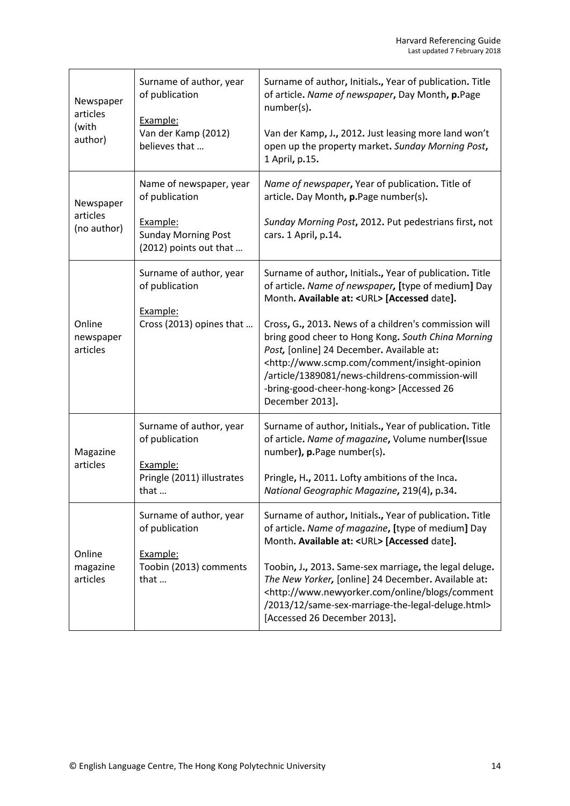| Newspaper<br>articles<br>(with<br>author) | Surname of author, year<br>of publication<br>Example:<br>Van der Kamp (2012)<br>believes that                 | Surname of author, Initials., Year of publication. Title<br>of article. Name of newspaper, Day Month, p.Page<br>number(s).<br>Van der Kamp, J., 2012. Just leasing more land won't<br>open up the property market. Sunday Morning Post,<br>1 April, p.15.                                                                                                                                                                                                                                                           |
|-------------------------------------------|---------------------------------------------------------------------------------------------------------------|---------------------------------------------------------------------------------------------------------------------------------------------------------------------------------------------------------------------------------------------------------------------------------------------------------------------------------------------------------------------------------------------------------------------------------------------------------------------------------------------------------------------|
| Newspaper<br>articles<br>(no author)      | Name of newspaper, year<br>of publication<br>Example:<br><b>Sunday Morning Post</b><br>(2012) points out that | Name of newspaper, Year of publication. Title of<br>article. Day Month, p.Page number(s).<br>Sunday Morning Post, 2012. Put pedestrians first, not<br>cars. 1 April, p.14.                                                                                                                                                                                                                                                                                                                                          |
| Online<br>newspaper<br>articles           | Surname of author, year<br>of publication<br>Example:<br>Cross (2013) opines that                             | Surname of author, Initials., Year of publication. Title<br>of article. Name of newspaper, [type of medium] Day<br>Month. Available at: < URL> [Accessed date].<br>Cross, G., 2013. News of a children's commission will<br>bring good cheer to Hong Kong. South China Morning<br>Post, [online] 24 December. Available at:<br><http: comment="" insight-opinion<br="" www.scmp.com="">/article/1389081/news-childrens-commission-will<br/>-bring-good-cheer-hong-kong&gt; [Accessed 26<br/>December 2013].</http:> |
| Magazine<br>articles                      | Surname of author, year<br>of publication<br>Example:<br>Pringle (2011) illustrates<br>that                   | Surname of author, Initials., Year of publication. Title<br>of article. Name of magazine, Volume number(Issue<br>number), p.Page number(s).<br>Pringle, H., 2011. Lofty ambitions of the Inca.<br>National Geographic Magazine, 219(4), p.34.                                                                                                                                                                                                                                                                       |
| Online<br>magazine<br>articles            | Surname of author, year<br>of publication<br>Example:<br>Toobin (2013) comments<br>that                       | Surname of author, Initials., Year of publication. Title<br>of article. Name of magazine, [type of medium] Day<br>Month. Available at: <url> [Accessed date].<br/>Toobin, J., 2013. Same-sex marriage, the legal deluge.<br/>The New Yorker, [online] 24 December. Available at:<br/><http: blogs="" comment<br="" online="" www.newyorker.com="">/2013/12/same-sex-marriage-the-legal-deluge.html&gt;<br/>[Accessed 26 December 2013].</http:></url>                                                               |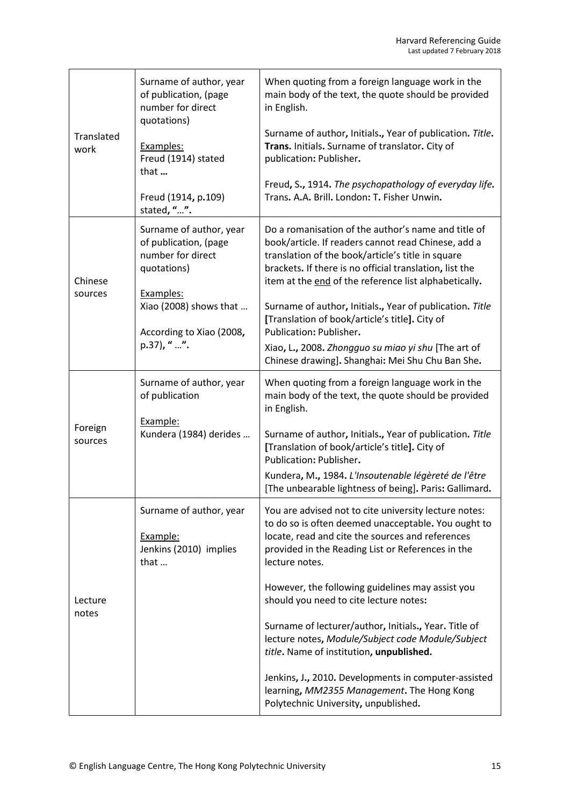| Translated<br>work | Surname of author, year<br>of publication, (page<br>number for direct<br>quotations)<br>Examples:<br>Freud (1914) stated<br>that<br>Freud (1914, p.109)<br>stated, "". | When quoting from a foreign language work in the<br>main body of the text, the quote should be provided<br>in English.<br>Surname of author, Initials., Year of publication. Title.<br>Trans. Initials. Surname of translator. City of<br>publication: Publisher.<br>Freud, S., 1914. The psychopathology of everyday life.<br>Trans. A.A. Brill. London: T. Fisher Unwin.                                                                                                                                                                                                                                                                    |
|--------------------|------------------------------------------------------------------------------------------------------------------------------------------------------------------------|-----------------------------------------------------------------------------------------------------------------------------------------------------------------------------------------------------------------------------------------------------------------------------------------------------------------------------------------------------------------------------------------------------------------------------------------------------------------------------------------------------------------------------------------------------------------------------------------------------------------------------------------------|
| Chinese<br>sources | Surname of author, year<br>of publication, (page<br>number for direct<br>quotations)<br>Examples:<br>Xiao (2008) shows that<br>According to Xiao (2008,<br>p.37), " ". | Do a romanisation of the author's name and title of<br>book/article. If readers cannot read Chinese, add a<br>translation of the book/article's title in square<br>brackets. If there is no official translation, list the<br>item at the end of the reference list alphabetically.<br>Surname of author, Initials., Year of publication. Title<br>[Translation of book/article's title]. City of<br>Publication: Publisher.<br>Xiao, L., 2008. Zhongguo su miao yi shu [The art of<br>Chinese drawing]. Shanghai: Mei Shu Chu Ban She.                                                                                                       |
| Foreign<br>sources | Surname of author, year<br>of publication<br>Example:<br>Kundera (1984) derides                                                                                        | When quoting from a foreign language work in the<br>main body of the text, the quote should be provided<br>in English.<br>Surname of author, Initials., Year of publication. Title<br>[Translation of book/article's title]. City of<br>Publication: Publisher.<br>Kundera, M., 1984. L'Insoutenable légèreté de l'être<br>[The unbearable lightness of being]. Paris: Gallimard.                                                                                                                                                                                                                                                             |
| Lecture<br>notes   | Surname of author, year<br>Example:<br>Jenkins (2010) implies<br>that                                                                                                  | You are advised not to cite university lecture notes:<br>to do so is often deemed unacceptable. You ought to<br>locate, read and cite the sources and references<br>provided in the Reading List or References in the<br>lecture notes.<br>However, the following guidelines may assist you<br>should you need to cite lecture notes:<br>Surname of lecturer/author, Initials., Year. Title of<br>lecture notes, Module/Subject code Module/Subject<br>title. Name of institution, unpublished.<br>Jenkins, J., 2010. Developments in computer-assisted<br>learning, MM2355 Management. The Hong Kong<br>Polytechnic University, unpublished. |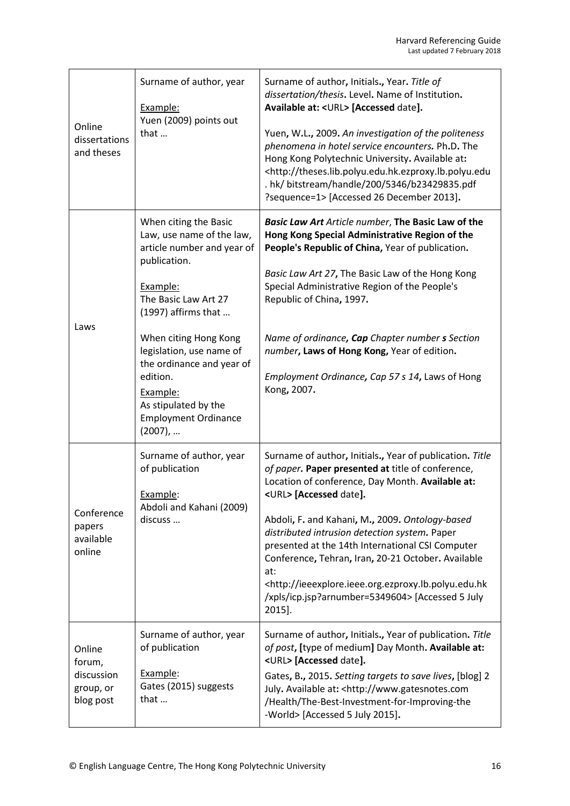| Online<br>dissertations<br>and theses                    | Surname of author, year<br>Example:<br>Yuen (2009) points out<br>that                                                                                                                                                                                                                                                                   | Surname of author, Initials., Year. Title of<br>dissertation/thesis. Level. Name of Institution.<br>Available at: <url> [Accessed date].<br/>Yuen, W.L., 2009. An investigation of the politeness<br/>phenomena in hotel service encounters. Ph.D. The<br/>Hong Kong Polytechnic University. Available at:<br/><http: theses.lib.polyu.edu.hk.ezproxy.lb.polyu.edu<br="">. hk/ bitstream/handle/200/5346/b23429835.pdf<br/>?sequence=1&gt; [Accessed 26 December 2013].</http:></url>                                                                           |
|----------------------------------------------------------|-----------------------------------------------------------------------------------------------------------------------------------------------------------------------------------------------------------------------------------------------------------------------------------------------------------------------------------------|-----------------------------------------------------------------------------------------------------------------------------------------------------------------------------------------------------------------------------------------------------------------------------------------------------------------------------------------------------------------------------------------------------------------------------------------------------------------------------------------------------------------------------------------------------------------|
| Laws                                                     | When citing the Basic<br>Law, use name of the law,<br>article number and year of<br>publication.<br>Example:<br>The Basic Law Art 27<br>(1997) affirms that<br>When citing Hong Kong<br>legislation, use name of<br>the ordinance and year of<br>edition.<br>Example:<br>As stipulated by the<br><b>Employment Ordinance</b><br>(2007), | Basic Law Art Article number, The Basic Law of the<br>Hong Kong Special Administrative Region of the<br>People's Republic of China, Year of publication.<br>Basic Law Art 27, The Basic Law of the Hong Kong<br>Special Administrative Region of the People's<br>Republic of China, 1997.<br>Name of ordinance, Cap Chapter number s Section<br>number, Laws of Hong Kong, Year of edition.<br>Employment Ordinance, Cap 57 s 14, Laws of Hong<br>Kong, 2007.                                                                                                   |
| Conference<br>papers<br>available<br>online              | Surname of author, year<br>of publication<br>Example:<br>Abdoli and Kahani (2009)<br>discuss                                                                                                                                                                                                                                            | Surname of author, Initials., Year of publication. Title<br>of paper. Paper presented at title of conference,<br>Location of conference, Day Month. Available at:<br><url> [Accessed date].<br/>Abdoli, F. and Kahani, M., 2009. Ontology-based<br/>distributed intrusion detection system. Paper<br/>presented at the 14th International CSI Computer<br/>Conference, Tehran, Iran, 20-21 October. Available<br/>at:<br/><http: ieeexplore.ieee.org.ezproxy.lb.polyu.edu.hk<br="">/xpls/icp.jsp?arnumber=5349604&gt; [Accessed 5 July<br/>2015].</http:></url> |
| Online<br>forum,<br>discussion<br>group, or<br>blog post | Surname of author, year<br>of publication<br>Example:<br>Gates (2015) suggests<br>that                                                                                                                                                                                                                                                  | Surname of author, Initials., Year of publication. Title<br>of post, [type of medium] Day Month. Available at:<br><url> [Accessed date].<br/>Gates, B., 2015. Setting targets to save lives, [blog] 2<br/>July. Available at: &lt; http://www.gatesnotes.com<br/>/Health/The-Best-Investment-for-Improving-the<br/>-World&gt; [Accessed 5 July 2015].</url>                                                                                                                                                                                                     |